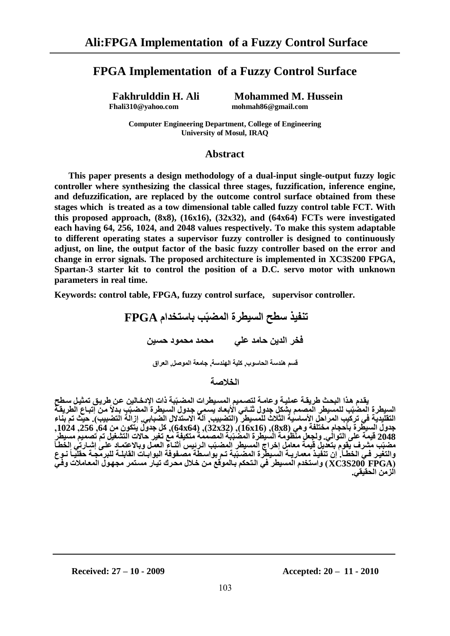# **FPGA Implementation of a Fuzzy Control Surface**

**Fakhrulddin H. Ali** Mohammed M. Hussein<br>Fhali310@yahoo.com mohmah86@gmail.com  **[Fhali310@yahoo.com](mailto:Fhali310@yahoo.com) [mohmah86@gmail.com](mailto:mohmah86@gmail.com)** 

**Computer Engineering Department, College of Engineering University of Mosul, IRAQ**

### **Abstract**

**This paper presents a design methodology of a dual-input single-output fuzzy logic controller where synthesizing the classical three stages, fuzzification, inference engine, and defuzzification, are replaced by the outcome control surface obtained from these stages which is treated as a tow dimensional table called fuzzy control table FCT. With this proposed approach, (8x8), (16x16), (32x32), and (64x64) FCTs were investigated each having 64, 256, 1024, and 2048 values respectively. To make this system adaptable to different operating states a supervisor fuzzy controller is designed to continuously adjust, on line, the output factor of the basic fuzzy controller based on the error and change in error signals. The proposed architecture is implemented in XC3S200 FPGA, Spartan-3 starter kit to control the position of a D.C. servo motor with unknown parameters in real time.**

**Keywords: control table, FPGA, fuzzy control surface, supervisor controller.**

**تُفيز سطح انسيطشج انًضث ة تاستخذاو FPGA** .<br>**فخر الدين حامد علي محمد محمود حسين** 

قسم هندسة الحاسوب, كلية الهندسة, جامعة الموصل, العراق

**انخالصح**

**يمدذو هدزا انثحدج ةشيمدح عًهيدح تعايدح نتيدًيى انًسديطشاخ انًضدث ثح راخ اإلدخدانيٍ عدٍ ةشيدك تًخيدم سدطح**  السيطرة المضبّب للمسيطر المصمم يشكل جدول ثنـائي الأبعاد يسمِي جدول السيطرة المضبّبِ بدلاً من آتبـاع الطريقـّة التقليدية في تركيب المراحل الأساسية الثلاث للمسيطر (التضبيب, آلة الاستدلال الضبابي, إزالة التضبيب). حيث تم بناء **جذتل انسيطشج تأحجاو يختهفح تهي )8x8),( 16x16),( 32x32),( 64x64), كم جذتل يتكوٌ يٍ ,64 ,256 ,1024 2048 ليًح عه انتواني. تنجعم يُظويح انسيطشج انًضث ثح انًيًًح يتكيفح يع تغيش حاًخ انتشغيم تى تيًيى يسيطش**  مضبّب مشرف يقوم بتعذيل قيمة معامل إخراج المسيطر المضبّب الرئيس أثنـاء العمل وبالاعتمـاد على إشبارتي الخطأ والتغير فـي الخطـأ. إن تنفيذ معماريــة السـيطرة المضـبّبة تـم بواسـطة مصـفوفة البوابـات القابلــة للبرمّجـة حقليـأ نـوع **)FPGA 200S3XC )تاستخذو انًسيطش في اندتحكى تدانًولع يدٍ خدالل يحدشن تيداس يسدتًش يجهدول انًعدايالخ تفدي**  ا**لز من الحقيقي.**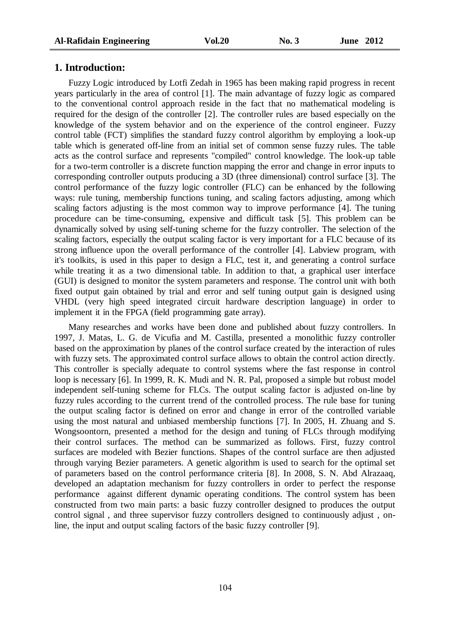#### **1. Introduction:**

Fuzzy Logic introduced by Lotfi Zedah in 1965 has been making rapid progress in recent years particularly in the area of control [1]. The main advantage of fuzzy logic as compared to the conventional control approach reside in the fact that no mathematical modeling is required for the design of the controller [2]. The controller rules are based especially on the knowledge of the system behavior and on the experience of the control engineer. Fuzzy control table (FCT) simplifies the standard fuzzy control algorithm by employing a look-up table which is generated off-line from an initial set of common sense fuzzy rules. The table acts as the control surface and represents "compiled" control knowledge. The look-up table for a two-term controller is a discrete function mapping the error and change in error inputs to corresponding controller outputs producing a 3D (three dimensional) control surface [3]. The control performance of the fuzzy logic controller (FLC) can be enhanced by the following ways: rule tuning, membership functions tuning, and scaling factors adjusting, among which scaling factors adjusting is the most common way to improve performance [4]. The tuning procedure can be time-consuming, expensive and difficult task [5]. This problem can be dynamically solved by using self-tuning scheme for the fuzzy controller. The selection of the scaling factors, especially the output scaling factor is very important for a FLC because of its strong influence upon the overall performance of the controller [4]. Labview program, with it's toolkits, is used in this paper to design a FLC, test it, and generating a control surface while treating it as a two dimensional table. In addition to that, a graphical user interface (GUI) is designed to monitor the system parameters and response. The control unit with both fixed output gain obtained by trial and error and self tuning output gain is designed using VHDL (very high speed integrated circuit hardware description language) in order to implement it in the FPGA (field programming gate array).

Many researches and works have been done and published about fuzzy controllers. In 1997, J. Matas, L. G. de Vicufia and M. Castilla, presented a monolithic fuzzy controller based on the approximation by planes of the control surface created by the interaction of rules with fuzzy sets. The approximated control surface allows to obtain the control action directly. This controller is specially adequate to control systems where the fast response in control loop is necessary [6]. In 1999, R. K. Mudi and N. R. Pal, proposed a simple but robust model independent self-tuning scheme for FLCs. The output scaling factor is adjusted on-line by fuzzy rules according to the current trend of the controlled process. The rule base for tuning the output scaling factor is defined on error and change in error of the controlled variable using the most natural and unbiased membership functions [7]. In 2005, H. Zhuang and S. Wongsoontorn, presented a method for the design and tuning of FLCs through modifying their control surfaces. The method can be summarized as follows. First, fuzzy control surfaces are modeled with Bezier functions. Shapes of the control surface are then adjusted through varying Bezier parameters. A genetic algorithm is used to search for the optimal set of parameters based on the control performance criteria [8]. In 2008, S. N. Abd Alrazaaq, developed an adaptation mechanism for fuzzy controllers in order to perfect the response performance against different dynamic operating conditions. The control system has been constructed from two main parts: a basic fuzzy controller designed to produces the output control signal , and three supervisor fuzzy controllers designed to continuously adjust , online, the input and output scaling factors of the basic fuzzy controller [9].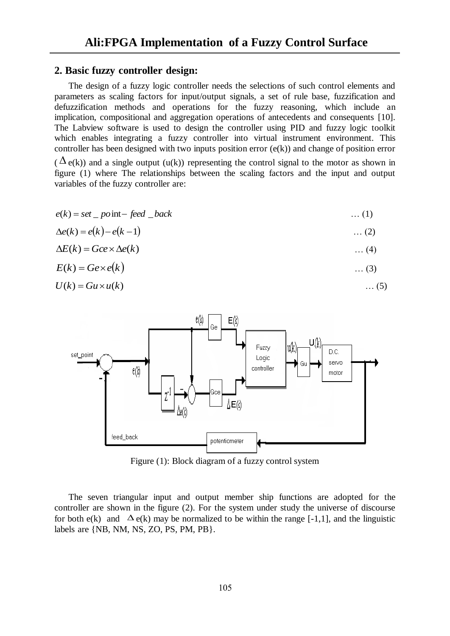# **2. Basic fuzzy controller design:**

The design of a fuzzy logic controller needs the selections of such control elements and parameters as scaling factors for input/output signals, a set of rule base, fuzzification and defuzzification methods and operations for the fuzzy reasoning, which include an implication, compositional and aggregation operations of antecedents and consequents [10]. The Labview software is used to design the controller using PID and fuzzy logic toolkit which enables integrating a fuzzy controller into virtual instrument environment. This controller has been designed with two inputs position error (e(k)) and change of position error

 $(\Delta \mathbf{e}(k))$  and a single output (u(k)) representing the control signal to the motor as shown in figure (1) where The relationships between the scaling factors and the input and output variables of the fuzzy controller are:

$$
e(k) = set \t\t point \t\t - feed \t\t - back \t\t (1)
$$

$$
\Delta e(k) = e(k) - e(k-1) \tag{2}
$$

$$
\Delta E(k) = Gce \times \Delta e(k) \tag{4}
$$

$$
E(k) = Ge \times e(k) \tag{3}
$$

$$
U(k) = Gu \times u(k) \tag{5}
$$



Figure (1): Block diagram of a fuzzy control system

The seven triangular input and output member ship functions are adopted for the controller are shown in the figure (2). For the system under study the universe of discourse for both e(k) and  $\Delta$  e(k) may be normalized to be within the range [-1,1], and the linguistic labels are {NB, NM, NS, ZO, PS, PM, PB}.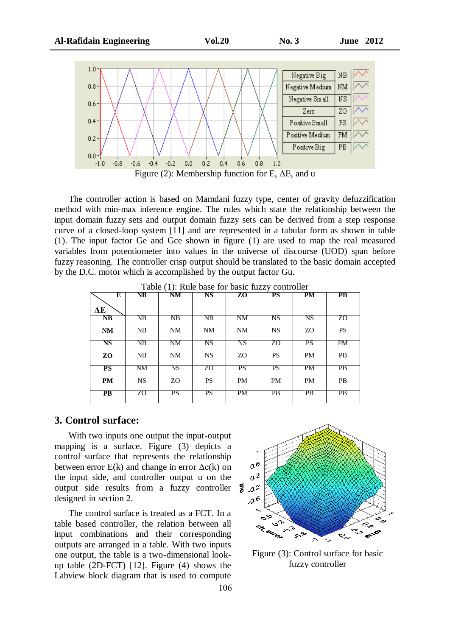

The controller action is based on Mamdani fuzzy type, center of gravity defuzzification method with min-max inference engine. The rules which state the relationship between the input domain fuzzy sets and output domain fuzzy sets can be derived from a step response curve of a closed-loop system [11] and are represented in a tabular form as shown in table (1). The input factor Ge and Gce shown in figure (1) are used to map the real measured variables from potentiometer into values in the universe of discourse (UOD) span before fuzzy reasoning. The controller crisp output should be translated to the basic domain accepted by the D.C. motor which is accomplished by the output factor Gu.

| E                      | NB | $\sim$ , $\sim$<br>NM | NS | ZO | PS | PM | $\overline{\text{PB}}$ |
|------------------------|----|-----------------------|----|----|----|----|------------------------|
| ΔE                     |    |                       |    |    |    |    |                        |
| NB                     | NΒ | NΒ                    | NΒ | NΜ | NS | NS | ΖO                     |
| NM                     | NΒ | NΜ                    | NΜ | NΜ | NS | ΖO | PS                     |
| NS                     | NΒ | NΜ                    | NS | NS | ΖO | PS | PМ                     |
| ZO                     | NB | NM                    | NS | ZO | PS | PM | $\overline{PB}$        |
| PS                     | NΜ | NS                    | ΖO | PS | PS | PМ | PВ                     |
| PM                     | NS | ΖO                    | PS | PM | PM | PM | PB                     |
| $\overline{\text{PB}}$ | ZO | PS                    | PS | PM | PB | PB | PB                     |

106

Table (1): Rule base for basic fuzzy controller

#### **3. Control surface:**

With two inputs one output the input-output mapping is a surface. Figure (3) depicts a control surface that represents the relationship between error  $E(k)$  and change in error  $\Delta e(k)$  on the input side, and controller output u on the output side results from a fuzzy controller  $\frac{2}{3}$   $0.2$ designed in section 2.

The control surface is treated as a FCT. In a table based controller, the relation between all input combinations and their corresponding outputs are arranged in a table. With two inputs one output, the table is a two-dimensional lookup table (2D-FCT) [12]. Figure (4) shows the Labview block diagram that is used to compute



Figure (3): Control surface for basic fuzzy controller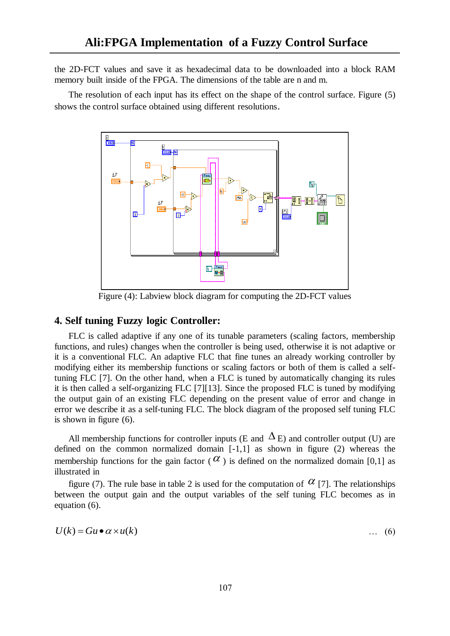the 2D-FCT values and save it as hexadecimal data to be downloaded into a block RAM memory built inside of the FPGA. The dimensions of the table are n and m.

The resolution of each input has its effect on the shape of the control surface. Figure (5) shows the control surface obtained using different resolutions.



Figure (4): Labview block diagram for computing the 2D-FCT values

# **4. Self tuning Fuzzy logic Controller:**

FLC is called adaptive if any one of its tunable parameters (scaling factors, membership functions, and rules) changes when the controller is being used, otherwise it is not adaptive or it is a conventional FLC. An adaptive FLC that fine tunes an already working controller by modifying either its membership functions or scaling factors or both of them is called a selftuning FLC [7]. On the other hand, when a FLC is tuned by automatically changing its rules it is then called a self-organizing FLC [7][13]. Since the proposed FLC is tuned by modifying the output gain of an existing FLC depending on the present value of error and change in error we describe it as a self-tuning FLC. The block diagram of the proposed self tuning FLC is shown in figure (6).

All membership functions for controller inputs (E and  $\Delta$ E) and controller output (U) are defined on the common normalized domain [-1,1] as shown in figure (2) whereas the membership functions for the gain factor ( $\alpha$ ) is defined on the normalized domain [0,1] as illustrated in

figure (7). The rule base in table 2 is used for the computation of  $\alpha$  [7]. The relationships between the output gain and the output variables of the self tuning FLC becomes as in equation (6).

$$
U(k) = Gu \bullet \alpha \times u(k) \tag{6}
$$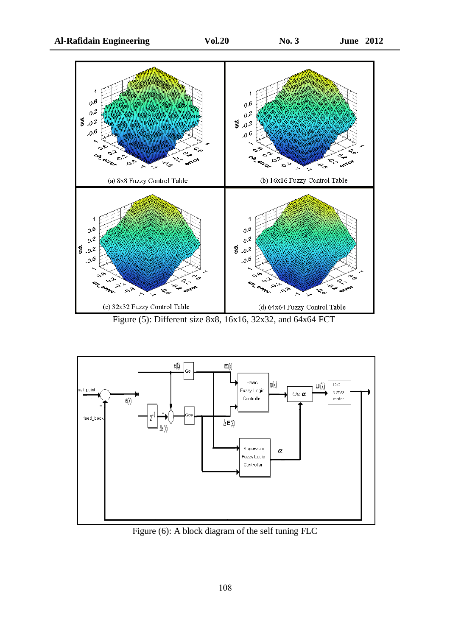

Figure (5): Different size 8x8, 16x16, 32x32, and 64x64 FCT



Figure (6): A block diagram of the self tuning FLC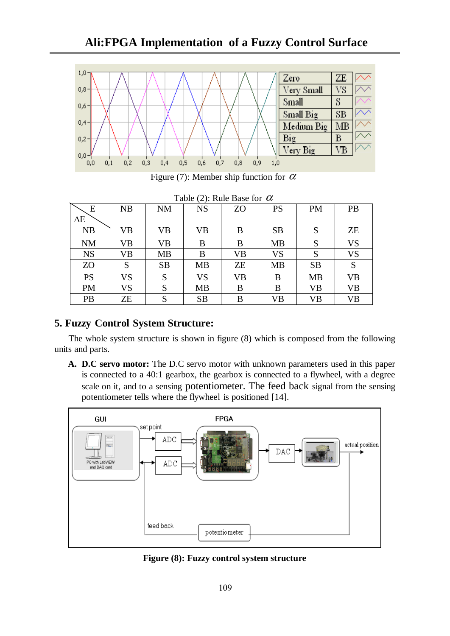

Figure (7): Member ship function for  $\alpha$ 

|            |           |           | Table (2). Rule Base for $\alpha$ |           |           |           |           |
|------------|-----------|-----------|-----------------------------------|-----------|-----------|-----------|-----------|
| E          | NB        | <b>NM</b> | <b>NS</b>                         | ZO        | <b>PS</b> | <b>PM</b> | PB        |
| $\Delta E$ |           |           |                                   |           |           |           |           |
| NB         | VB        | VB        | VB                                | B         | <b>SB</b> | S         | <b>ZE</b> |
| <b>NM</b>  | VB        | VB        | B                                 | B         | <b>MB</b> | S         | <b>VS</b> |
| <b>NS</b>  | VB        | МB        | B                                 | <b>VB</b> | <b>VS</b> | S         | <b>VS</b> |
| ZO         | S         | <b>SB</b> | <b>MB</b>                         | ZΕ        | <b>MB</b> | <b>SB</b> | S         |
| <b>PS</b>  | VS        | S         | VS                                | <b>VB</b> | B         | <b>MB</b> | VB        |
| <b>PM</b>  | <b>VS</b> | S         | <b>MB</b>                         | B         | B         | <b>VB</b> | <b>VB</b> |
| PB         | ZΕ        | S         | <b>SB</b>                         | B         | VB        | VB        | <b>VB</b> |

Table (2): Rule Base for  $\alpha$ 

# **5. Fuzzy Control System Structure:**

The whole system structure is shown in figure (8) which is composed from the following units and parts.

**A. D.C servo motor:** The D.C servo motor with unknown parameters used in this paper is connected to a 40:1 gearbox, the gearbox is connected to a flywheel, with a degree scale on it, and to a sensing potentiometer. The feed back signal from the sensing potentiometer tells where the flywheel is positioned [14].



**Figure (8): Fuzzy control system structure**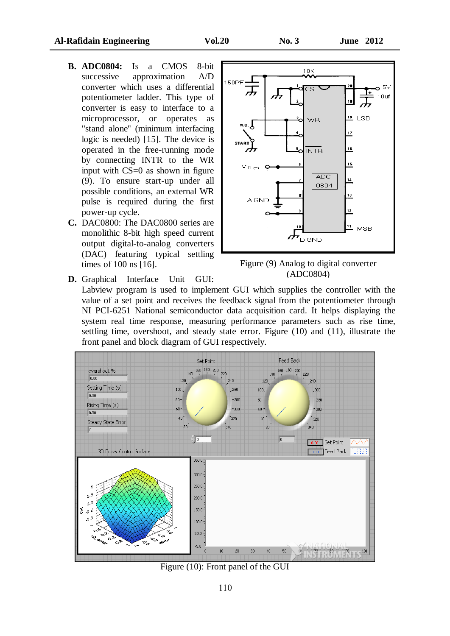- **B. ADC0804:** Is a CMOS 8-bit successive approximation A/D converter which uses a differential potentiometer ladder. This type of converter is easy to interface to a microprocessor, or operates as "stand alone'' (minimum interfacing logic is needed) [15]. The device is operated in the free-running mode by connecting INTR to the WR input with CS=0 as shown in figure (9). To ensure start-up under all possible conditions, an external WR pulse is required during the first power-up cycle.
- **C.** DAC0800: The DAC0800 series are monolithic 8-bit high speed current output digital-to-analog converters (DAC) featuring typical settling times of 100 ns [16].

**D.** Graphical Interface Unit GUI:





Labview program is used to implement GUI which supplies the controller with the value of a set point and receives the feedback signal from the potentiometer through NI PCI-6251 National semiconductor data acquisition card. It helps displaying the system real time response, measuring performance parameters such as rise time, settling time, overshoot, and steady state error. Figure (10) and (11), illustrate the front panel and block diagram of GUI respectively.



Figure (10): Front panel of the GUI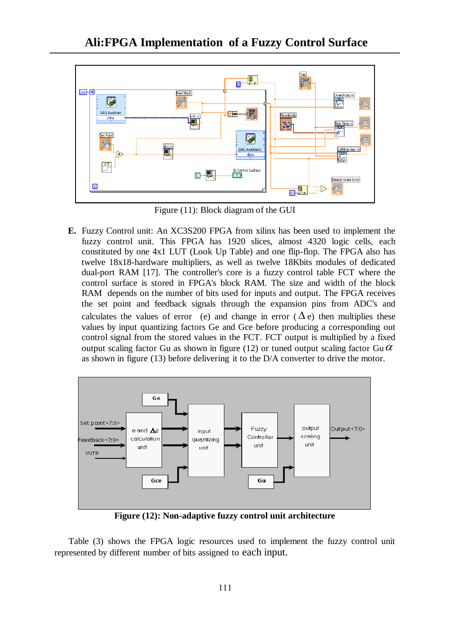

Figure (11): Block diagram of the GUI

**E.** Fuzzy Control unit: An XC3S200 FPGA from xilinx has been used to implement the fuzzy control unit. This FPGA has 1920 slices, almost 4320 logic cells, each constituted by one 4x1 LUT (Look Up Table) and one flip-flop. The FPGA also has twelve 18x18-hardware multipliers, as well as twelve 18Kbits modules of dedicated dual-port RAM [17]. The controller's core is a fuzzy control table FCT where the control surface is stored in FPGA's block RAM. The size and width of the block RAM depends on the number of bits used for inputs and output. The FPGA receives the set point and feedback signals through the expansion pins from ADC's and calculates the values of error (e) and change in error ( $\Delta e$ ) then multiplies these values by input quantizing factors Ge and Gce before producing a corresponding out control signal from the stored values in the FCT. FCT output is multiplied by a fixed output scaling factor Gu as shown in figure (12) or tuned output scaling factor Gu  $\alpha$ as shown in figure (13) before delivering it to the D/A converter to drive the motor.



**Figure (12): Non-adaptive fuzzy control unit architecture**

Table (3) shows the FPGA logic resources used to implement the fuzzy control unit represented by different number of bits assigned to each input.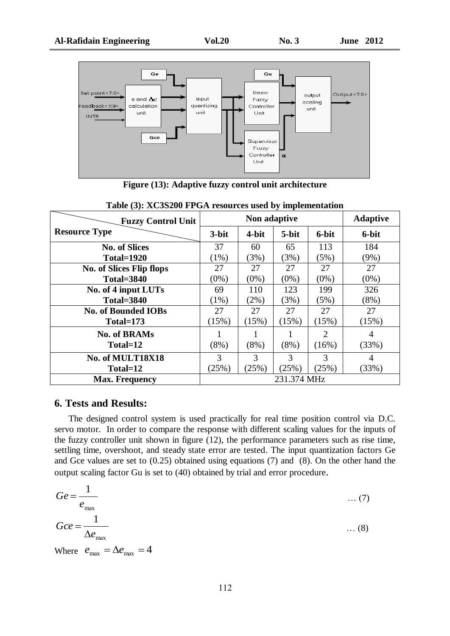

**Figure (13): Adaptive fuzzy control unit architecture** 

| <b>Fuzzy Control Unit</b>       |         | <b>Adaptive</b> |             |                             |         |
|---------------------------------|---------|-----------------|-------------|-----------------------------|---------|
| <b>Resource Type</b>            | 3-bit   | 4-bit           | 5-bit       | 6-bit                       | 6-bit   |
| <b>No. of Slices</b>            | 37      | 60              | 65          | 113                         | 184     |
| <b>Total=1920</b>               | $(1\%)$ | (3%)            | (3%)        | (5%)                        | $(9\%)$ |
| <b>No. of Slices Flip flops</b> | 27      | 27              | 27          | 27                          | 27      |
| <b>Total=3840</b>               | $(0\%)$ | $(0\%)$         | $(0\%)$     | $(0\%)$                     | $(0\%)$ |
| No. of 4 input LUTs             | 69      | 110             | 123         | 199                         | 326     |
| <b>Total=3840</b>               | $(1\%)$ | $(2\%)$         | (3%)        | (5%)                        | $(8\%)$ |
| <b>No. of Bounded IOBs</b>      | 27      | 27              | 27          | 27                          | 27      |
| $Total=173$                     | (15%)   | (15%)           | (15%)       | (15%)                       | (15%)   |
| <b>No. of BRAMs</b>             |         |                 |             | $\mathcal{D}_{\mathcal{L}}$ | 4       |
| Total=12                        | $(8\%)$ | $(8\%)$         | $(8\%)$     | (16%)                       | (33%)   |
| No. of MULT18X18                | 3       | 3               | 3           | $\mathcal{R}$               | 4       |
| Total=12                        | (25%)   | (25%)           | (25%)       | (25%)                       | (33%)   |
| <b>Max. Frequency</b>           |         |                 | 231.374 MHz |                             |         |

**Table (3): XC3S200 FPGA resources used by implementation**

## **6. Tests and Results:**

The designed control system is used practically for real time position control via D.C. servo motor. In order to compare the response with different scaling values for the inputs of the fuzzy controller unit shown in figure (12), the performance parameters such as rise time, settling time, overshoot, and steady state error are tested. The input quantization factors Ge and Gce values are set to (0.25) obtained using equations (7) and (8). On the other hand the output scaling factor Gu is set to (40) obtained by trial and error procedure.

$$
Ge = \frac{1}{e_{\text{max}}}
$$
 ... (7)  

$$
Gce = \frac{1}{\Delta e_{\text{max}}}
$$
 ... (8)

Where  $e_{\text{max}} = \Delta e_{\text{max}} = 4$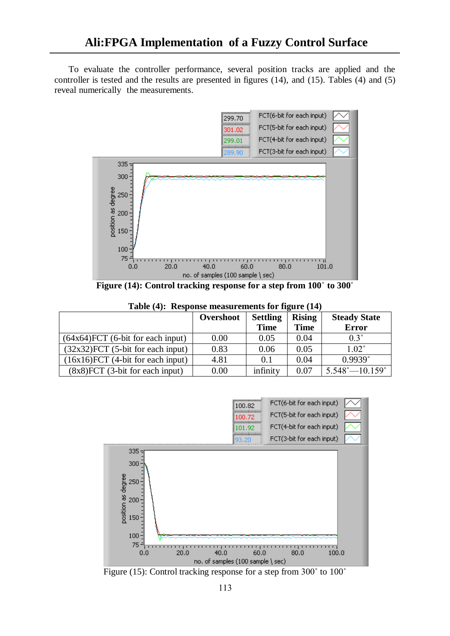To evaluate the controller performance, several position tracks are applied and the controller is tested and the results are presented in figures (14), and (15). Tables (4) and (5) reveal numerically the measurements.



**Figure (14): Control tracking response for a step from 100**˚ **to 300**˚

|  | Table (4): Response measurements for figure (14) |  |  |
|--|--------------------------------------------------|--|--|
|  |                                                  |  |  |

|                                        | Overshoot | <b>Settling</b> | <b>Rising</b> | <b>Steady State</b>              |
|----------------------------------------|-----------|-----------------|---------------|----------------------------------|
|                                        |           | <b>Time</b>     | <b>Time</b>   | <b>Error</b>                     |
| $(64x64)$ FCT $(6-bit$ for each input) | 0.00      | 0.05            | 0.04          | $0.3^\circ$                      |
| $(32x32)$ FCT $(5-bit$ for each input) | 0.83      | 0.06            | 0.05          | $1.02^{\circ}$                   |
| $(16x16)$ FCT $(4-bit$ for each input) | 4.81      | 0.1             | 0.04          | $0.9939^{\circ}$                 |
| $(8x8)$ FCT $(3-bit)$ for each input)  | 0.00      | infinity        | 0.07          | $5.548^{\circ} - 10.159^{\circ}$ |



Figure (15): Control tracking response for a step from 300˚ to 100˚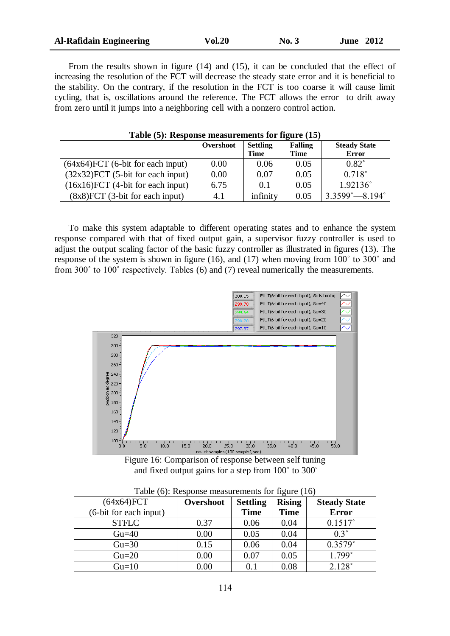| <b>Al-Rafidain Engineering</b> | <b>Vol.20</b> | No. 3 | <b>June 2012</b> |
|--------------------------------|---------------|-------|------------------|
|                                |               |       |                  |

From the results shown in figure (14) and (15), it can be concluded that the effect of increasing the resolution of the FCT will decrease the steady state error and it is beneficial to the stability. On the contrary, if the resolution in the FCT is too coarse it will cause limit cycling, that is, oscillations around the reference. The FCT allows the error to drift away from zero until it jumps into a neighboring cell with a nonzero control action.

|                                        | Overshoot | <b>Settling</b><br><b>Time</b> | <b>Falling</b><br><b>Time</b> | <b>Steady State</b><br><b>Error</b> |
|----------------------------------------|-----------|--------------------------------|-------------------------------|-------------------------------------|
| $(64x64)$ FCT $(6-bit$ for each input) | 0.00      | 0.06                           | 0.05                          | $0.82^\circ$                        |
| $(32x32)$ FCT $(5-bit for each input)$ | 0.00      | 0.07                           | 0.05                          | $0.718^{\circ}$                     |
| $(16x16)$ FCT $(4-bit$ for each input) | 6.75      | 0.1                            | 0.05                          | $1.92136^{\circ}$                   |
| $(8x8)$ FCT $(3-bit)$ for each input)  | 4.1       | infinity                       | 0.05                          | $3.3599^{\circ} - 8.194^{\circ}$    |

**Table (5): Response measurements for figure (15)**

To make this system adaptable to different operating states and to enhance the system response compared with that of fixed output gain, a supervisor fuzzy controller is used to adjust the output scaling factor of the basic fuzzy controller as illustrated in figures (13). The response of the system is shown in figure (16), and (17) when moving from 100˚ to 300˚ and from 300˚ to 100˚ respectively. Tables (6) and (7) reveal numerically the measurements.



Figure 16: Comparison of response between self tuning and fixed output gains for a step from 100˚ to 300˚

| $(64x64)$ FCT          | Overshoot | <b>Settling</b> | <b>Rising</b> | <b>Steady State</b> |
|------------------------|-----------|-----------------|---------------|---------------------|
| (6-bit for each input) |           | <b>Time</b>     | <b>Time</b>   | <b>Error</b>        |
| <b>STFLC</b>           | 0.37      | 0.06            | 0.04          | $0.1517^{\circ}$    |
| $Gu=40$                | 0.00      | 0.05            | 0.04          | $0.3^\circ$         |
| $Gu=30$                | 0.15      | 0.06            | 0.04          | 0.3579°             |
| $Gu=20$                | 0.00      | 0.07            | 0.05          | $1.799^{\circ}$     |
| $Gu=10$                | $0.00\,$  |                 | 0.08          | $2.128^{\circ}$     |

Table (6): Response measurements for figure (16)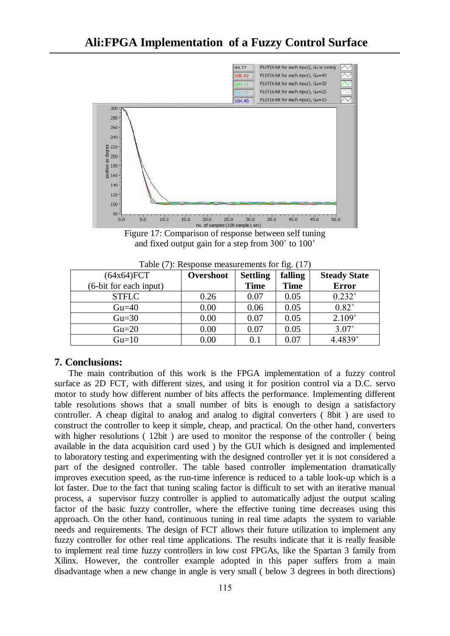

Figure 17: Comparison of response between self tuning and fixed output gain for a step from 300˚ to 100˚

| Table $(7)$ : Response measurements for fig. $(17)$ |  |  |  |  |  |  |  |
|-----------------------------------------------------|--|--|--|--|--|--|--|
|-----------------------------------------------------|--|--|--|--|--|--|--|

| (64x64)FCT             | Overshoot | <b>Settling</b> | falling     | <b>Steady State</b> |
|------------------------|-----------|-----------------|-------------|---------------------|
| (6-bit for each input) |           | <b>Time</b>     | <b>Time</b> | <b>Error</b>        |
| <b>STFLC</b>           | 0.26      | 0.07            | 0.05        | $0.232^\circ$       |
| $Gu=40$                | 0.00      | 0.06            | 0.05        | $0.82^\circ$        |
| $Gu=30$                | 0.00      | 0.07            | 0.05        | 2.109°              |
| $Gu=20$                | 0.00      | 0.07            | 0.05        | $3.07^\circ$        |
| $Gu=10$                | 0.00      | 0.1             | 0.07        | 4.4839°             |

## **7. Conclusions:**

The main contribution of this work is the FPGA implementation of a fuzzy control surface as 2D FCT, with different sizes, and using it for position control via a D.C. servo motor to study how different number of bits affects the performance. Implementing different table resolutions shows that a small number of bits is enough to design a satisfactory controller. A cheap digital to analog and analog to digital converters ( 8bit ) are used to construct the controller to keep it simple, cheap, and practical. On the other hand, converters with higher resolutions ( 12bit ) are used to monitor the response of the controller ( being available in the data acquisition card used ) by the GUI which is designed and implemented to laboratory testing and experimenting with the designed controller yet it is not considered a part of the designed controller. The table based controller implementation dramatically improves execution speed, as the run-time inference is reduced to a table look-up which is a lot faster. Due to the fact that tuning scaling factor is difficult to set with an iterative manual process, a supervisor fuzzy controller is applied to automatically adjust the output scaling factor of the basic fuzzy controller, where the effective tuning time decreases using this approach. On the other hand, continuous tuning in real time adapts the system to variable needs and requirements. The design of FCT allows their future utilization to implement any fuzzy controller for other real time applications. The results indicate that it is really feasible to implement real time fuzzy controllers in low cost FPGAs, like the Spartan 3 family from Xilinx. However, the controller example adopted in this paper suffers from a main disadvantage when a new change in angle is very small ( below 3 degrees in both directions)